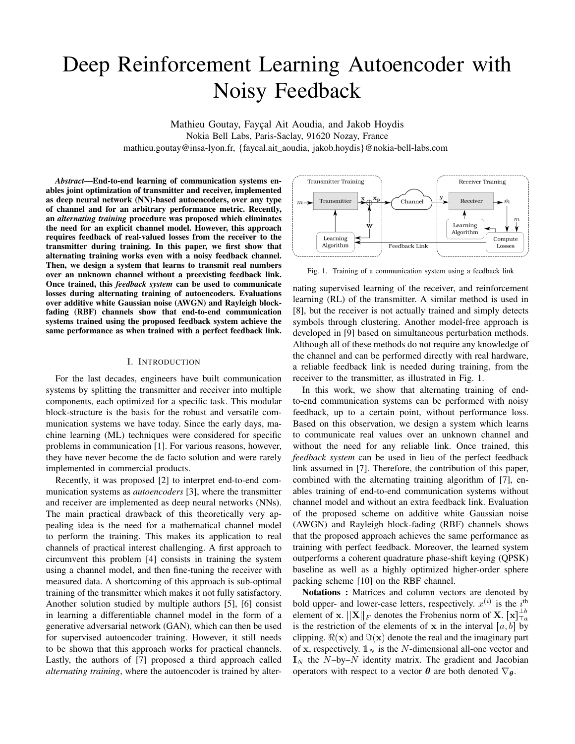# Deep Reinforcement Learning Autoencoder with Noisy Feedback

Mathieu Goutay, Fayçal Ait Aoudia, and Jakob Hoydis Nokia Bell Labs, Paris-Saclay, 91620 Nozay, France mathieu.goutay@insa-lyon.fr, {faycal.ait\_aoudia, jakob.hoydis}@nokia-bell-labs.com

*Abstract*—End-to-end learning of communication systems enables joint optimization of transmitter and receiver, implemented as deep neural network (NN)-based autoencoders, over any type of channel and for an arbitrary performance metric. Recently, an *alternating training* procedure was proposed which eliminates the need for an explicit channel model. However, this approach requires feedback of real-valued losses from the receiver to the transmitter during training. In this paper, we first show that alternating training works even with a noisy feedback channel. Then, we design a system that learns to transmit real numbers over an unknown channel without a preexisting feedback link. Once trained, this *feedback system* can be used to communicate losses during alternating training of autoencoders. Evaluations over additive white Gaussian noise (AWGN) and Rayleigh blockfading (RBF) channels show that end-to-end communication systems trained using the proposed feedback system achieve the same performance as when trained with a perfect feedback link.

### I. INTRODUCTION

For the last decades, engineers have built communication systems by splitting the transmitter and receiver into multiple components, each optimized for a specific task. This modular block-structure is the basis for the robust and versatile communication systems we have today. Since the early days, machine learning (ML) techniques were considered for specific problems in communication [1]. For various reasons, however, they have never become the de facto solution and were rarely implemented in commercial products.

Recently, it was proposed [2] to interpret end-to-end communication systems as *autoencoders* [3], where the transmitter and receiver are implemented as deep neural networks (NNs). The main practical drawback of this theoretically very appealing idea is the need for a mathematical channel model to perform the training. This makes its application to real channels of practical interest challenging. A first approach to circumvent this problem [4] consists in training the system using a channel model, and then fine-tuning the receiver with measured data. A shortcoming of this approach is sub-optimal training of the transmitter which makes it not fully satisfactory. Another solution studied by multiple authors [5], [6] consist in learning a differentiable channel model in the form of a generative adversarial network (GAN), which can then be used for supervised autoencoder training. However, it still needs to be shown that this approach works for practical channels. Lastly, the authors of [7] proposed a third approach called *alternating training*, where the autoencoder is trained by alter-



Fig. 1. Training of a communication system using a feedback link

nating supervised learning of the receiver, and reinforcement learning (RL) of the transmitter. A similar method is used in [8], but the receiver is not actually trained and simply detects symbols through clustering. Another model-free approach is developed in [9] based on simultaneous perturbation methods. Although all of these methods do not require any knowledge of the channel and can be performed directly with real hardware, a reliable feedback link is needed during training, from the receiver to the transmitter, as illustrated in Fig. 1.

In this work, we show that alternating training of endto-end communication systems can be performed with noisy feedback, up to a certain point, without performance loss. Based on this observation, we design a system which learns to communicate real values over an unknown channel and without the need for any reliable link. Once trained, this *feedback system* can be used in lieu of the perfect feedback link assumed in [7]. Therefore, the contribution of this paper, combined with the alternating training algorithm of [7], enables training of end-to-end communication systems without channel model and without an extra feedback link. Evaluation of the proposed scheme on additive white Gaussian noise (AWGN) and Rayleigh block-fading (RBF) channels shows that the proposed approach achieves the same performance as training with perfect feedback. Moreover, the learned system outperforms a coherent quadrature phase-shift keying (QPSK) baseline as well as a highly optimized higher-order sphere packing scheme [10] on the RBF channel.

Notations : Matrices and column vectors are denoted by bold upper- and lower-case letters, respectively.  $x^{(i)}$  is the  $i^{\text{th}}$ element of x.  $||\mathbf{X}||_F$  denotes the Frobenius norm of X.  $[\mathbf{x}]_{T_a}^{\perp b}$ is the restriction of the elements of x in the interval  $[a, b]$  by clipping.  $\Re(\mathbf{x})$  and  $\Im(\mathbf{x})$  denote the real and the imaginary part of x, respectively.  $\mathbb{1}_N$  is the N-dimensional all-one vector and  $I_N$  the N–by–N identity matrix. The gradient and Jacobian operators with respect to a vector  $\theta$  are both denoted  $\nabla_{\theta}$ .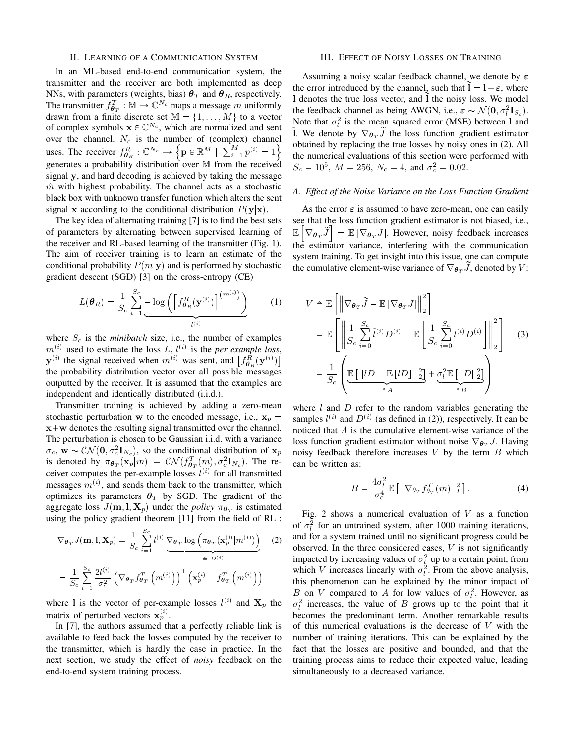# II. LEARNING OF A COMMUNICATION SYSTEM

In an ML-based end-to-end communication system, the transmitter and the receiver are both implemented as deep NNs, with parameters (weights, bias)  $\theta_T$  and  $\theta_R$ , respectively. The transmitter  $f_{\theta_T}^T : \mathbb{M} \to \mathbb{C}^{N_c}$  maps a message m uniformly drawn from a finite discrete set  $\mathbb{M} = \{1, \dots, M\}$  to a vector of complex symbols  $\mathbf{x} \in \mathbb{C}^{N_c}$ , which are normalized and sent over the channel.  $N_c$  is the number of (complex) channel uses. The receiver  $f_{\theta_R}^R: \mathbb{C}^{N_c} \to \left\{ \mathbf{p} \in \mathbb{R}^M_+ \mid \sum_{i=1}^M p^{(i)} = 1 \right\}$ generates a probability distribution over M from the received signal y, and hard decoding is achieved by taking the message  $m$  with highest probability. The channel acts as a stochastic black box with unknown transfer function which alters the sent signal x according to the conditional distribution  $P(y|x)$ .

The key idea of alternating training [7] is to find the best sets of parameters by alternating between supervised learning of the receiver and RL-based learning of the transmitter (Fig. 1). The aim of receiver training is to learn an estimate of the conditional probability  $P(m|\mathbf{y})$  and is performed by stochastic gradient descent (SGD) [3] on the cross-entropy (CE)

$$
L(\boldsymbol{\theta}_R) = \frac{1}{S_c} \sum_{i=1}^{S_c} -\log\left(\left[f_{\boldsymbol{\theta}_R}^R(\mathbf{y}^{(i)})\right]^{(m^{(i)})}\right)
$$
(1)

where  $S_c$  is the *minibatch* size, i.e., the number of examples  $m^{(i)}$  used to estimate the loss L,  $l^{(i)}$  is the *per example loss*,  $\mathbf{y}^{(i)}$  the signal received when  $m^{(i)}$  was sent, and  $\left[f_{\theta_R}^{R}(\mathbf{y}^{(i)})\right]$ the probability distribution vector over all possible messages outputted by the receiver. It is assumed that the examples are independent and identically distributed (i.i.d.).

Transmitter training is achieved by adding a zero-mean stochastic perturbation w to the encoded message, i.e.,  $x_p =$  $x+w$  denotes the resulting signal transmitted over the channel. The perturbation is chosen to be Gaussian i.i.d. with a variance  $\sigma_c$ ,  $\mathbf{w} \sim \mathcal{CN}(\mathbf{0}, \sigma_c^2 \mathbf{I}_{N_c})$ , so the conditional distribution of  $\mathbf{x}_p$ is denoted by  $\pi_{\theta_T}(\mathbf{x}_p|m) = \mathcal{CN}(f_{\theta_T}^T(m), \sigma_c^2 \mathbf{I}_{N_c})$ . The receiver computes the per-example losses  $l^{(i)}$  for all transmitted messages  $m^{(i)}$ , and sends them back to the transmitter, which optimizes its parameters  $\theta_T$  by SGD. The gradient of the aggregate loss  $J(\mathbf{m}, \mathbf{l}, \mathbf{X}_p)$  under the *policy*  $\pi_{\theta_T}$  is estimated using the policy gradient theorem [11] from the field of RL :

$$
\nabla_{\boldsymbol{\theta}_T} J(\mathbf{m}, \mathbf{l}, \mathbf{X}_p) = \frac{1}{S_c} \sum_{i=1}^{S_c} l^{(i)} \underbrace{\nabla_{\boldsymbol{\theta}_T} \log \left( \pi_{\boldsymbol{\theta}_T}(\mathbf{x}_p^{(i)} | m^{(i)}) \right)}_{\triangleq D^{(i)}} \tag{2}
$$
\n
$$
= \frac{1}{S_c} \sum_{i=1}^{S_c} \frac{2l^{(i)}}{\sigma_c^2} \left( \nabla_{\boldsymbol{\theta}_T} f_{\boldsymbol{\theta}_T}^T \left( m^{(i)} \right) \right)^{\mathsf{T}} \left( \mathbf{x}_p^{(i)} - f_{\boldsymbol{\theta}_T}^T \left( m^{(i)} \right) \right)
$$

where 1 is the vector of per-example losses  $l^{(i)}$  and  $\mathbf{X}_p$  the matrix of perturbed vectors  $\mathbf{x}_p^{(i)}$ .

In [7], the authors assumed that a perfectly reliable link is available to feed back the losses computed by the receiver to the transmitter, which is hardly the case in practice. In the next section, we study the effect of *noisy* feedback on the end-to-end system training process.

## III. EFFECT OF NOISY LOSSES ON TRAINING

Assuming a noisy scalar feedback channel, we denote by  $\varepsilon$ the error introduced by the channel, such that  $l = l + \varepsilon$ , where I denotes the true loss vector, and I the noisy loss. We model the feedback channel as being AWGN, i.e.,  $\varepsilon \sim \mathcal{N}(\mathbf{0}, \sigma_l^2 \mathbf{I}_{S_c})$ . Note that  $\sigma_l^2$  is the mean squared error (MSE) between 1 and I. We denote by  $\nabla_{\theta_T} \tilde{J}$  the loss function gradient estimator obtained by replacing the true losses by noisy ones in (2). All the numerical evaluations of this section were performed with  $S_c = 10^5$ ,  $M = 256$ ,  $N_c = 4$ , and  $\sigma_c^2 = 0.02$ .

### *A. Effect of the Noise Variance on the Loss Function Gradient*

As the error  $\varepsilon$  is assumed to have zero-mean, one can easily see that the loss function gradient estimator is not biased, i.e.,  $\mathbb{E} \left[ \nabla_{\theta_T} \widetilde{J} \right] = \mathbb{E} \left[ \nabla_{\theta_T} J \right]$ . However, noisy feedback increases the estimator variance, interfering with the communication system training. To get insight into this issue, one can compute the cumulative element-wise variance of  $\nabla_{\theta_{T}} J$ , denoted by V:

$$
V \triangleq \mathbb{E}\left[\left\|\nabla_{\theta_T}\tilde{J} - \mathbb{E}\left[\nabla_{\theta_T}J\right]\right\|_2^2\right]
$$
  
\n
$$
= \mathbb{E}\left[\left\|\frac{1}{S_c}\sum_{i=0}^{S_c}\tilde{l}^{(i)}D^{(i)} - \mathbb{E}\left[\frac{1}{S_c}\sum_{i=0}^{S_c}l^{(i)}D^{(i)}\right]\right\|_2^2\right]
$$
(3)  
\n
$$
= \frac{1}{S_c}\left(\underbrace{\mathbb{E}\left[\left\|lD - \mathbb{E}\left[lD\right]\right\|_2^2\right]}_{\triangleq A} + \underbrace{\sigma_l^2\mathbb{E}\left[\left\|D\right\|_2^2\right]}_{\triangleq B}\right)
$$

where  $l$  and  $D$  refer to the random variables generating the samples  $l^{(i)}$  and  $D^{(i)}$  (as defined in (2)), respectively. It can be noticed that A is the cumulative element-wise variance of the loss function gradient estimator without noise  $\nabla_{\theta_{T}} J$ . Having noisy feedback therefore increases  $V$  by the term  $B$  which can be written as:

$$
B = \frac{4\sigma_l^2}{\sigma_c^4} \mathbb{E}\left[||\nabla_{\theta_T} f_{\theta_T}^T(m)||_F^2\right].\tag{4}
$$

Fig. 2 shows a numerical evaluation of  $V$  as a function of  $\sigma_l^2$  for an untrained system, after 1000 training iterations, and for a system trained until no significant progress could be observed. In the three considered cases,  $V$  is not significantly impacted by increasing values of  $\sigma_l^2$  up to a certain point, from which V increases linearly with  $\sigma_l^2$ . From the above analysis, this phenomenon can be explained by the minor impact of B on V compared to A for low values of  $\sigma_l^2$ . However, as  $\sigma_l^2$  increases, the value of B grows up to the point that it becomes the predominant term. Another remarkable results of this numerical evaluations is the decrease of  $V$  with the number of training iterations. This can be explained by the fact that the losses are positive and bounded, and that the training process aims to reduce their expected value, leading simultaneously to a decreased variance.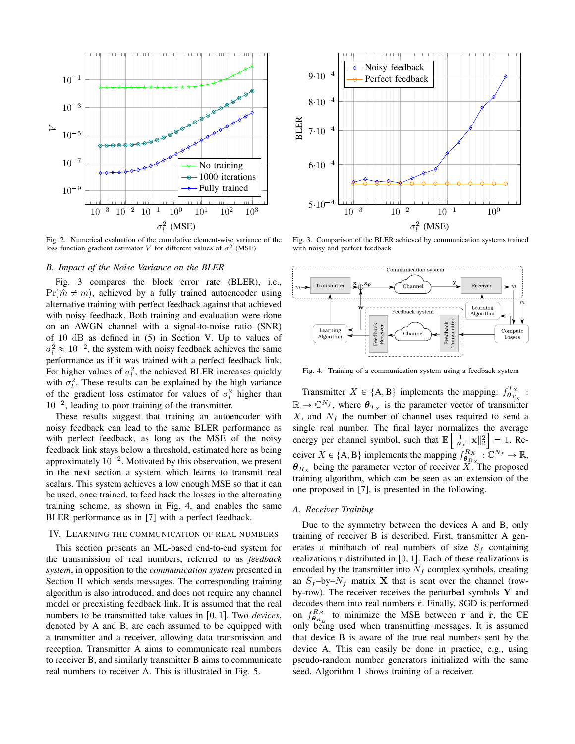

Fig. 2. Numerical evaluation of the cumulative element-wise variance of the loss function gradient estimator V for different values of  $\sigma_l^2$  (MSE)

# *B. Impact of the Noise Variance on the BLER*

Fig. 3 compares the block error rate (BLER), i.e.,  $Pr(\hat{m} \neq m)$ , achieved by a fully trained autoencoder using alternative training with perfect feedback against that achieved with noisy feedback. Both training and evaluation were done on an AWGN channel with a signal-to-noise ratio (SNR) of 10 dB as defined in (5) in Section V. Up to values of  $\sigma_l^2 \approx 10^{-2}$ , the system with noisy feedback achieves the same performance as if it was trained with a perfect feedback link. For higher values of  $\sigma_l^2$ , the achieved BLER increases quickly with  $\sigma_l^2$ . These results can be explained by the high variance of the gradient loss estimator for values of  $\sigma_l^2$  higher than  $10^{-2}$ , leading to poor training of the transmitter.

These results suggest that training an autoencoder with noisy feedback can lead to the same BLER performance as with perfect feedback, as long as the MSE of the noisy feedback link stays below a threshold, estimated here as being approximately  $10^{-2}$ . Motivated by this observation, we present in the next section a system which learns to transmit real scalars. This system achieves a low enough MSE so that it can be used, once trained, to feed back the losses in the alternating training scheme, as shown in Fig. 4, and enables the same BLER performance as in [7] with a perfect feedback.

## IV. LEARNING THE COMMUNICATION OF REAL NUMBERS

This section presents an ML-based end-to-end system for the transmission of real numbers, referred to as *feedback system*, in opposition to the *communication system* presented in Section II which sends messages. The corresponding training algorithm is also introduced, and does not require any channel model or preexisting feedback link. It is assumed that the real numbers to be transmitted take values in  $[0, 1]$ . Two *devices*, denoted by A and B, are each assumed to be equipped with a transmitter and a receiver, allowing data transmission and reception. Transmitter A aims to communicate real numbers to receiver B, and similarly transmitter B aims to communicate real numbers to receiver A. This is illustrated in Fig. 5.



Fig. 3. Comparison of the BLER achieved by communication systems trained with noisy and perfect feedback



Fig. 4. Training of a communication system using a feedback system

Transmitter  $X \in \{A, B\}$  implements the mapping:  $f_{\theta_{T_X}}^{T_X}$ :  $\mathbb{R} \to \mathbb{C}^{N_f}$ , where  $\theta_{Tx}$  is the parameter vector of transmitter  $X$ , and  $N_f$  the number of channel uses required to send a single real number. The final layer normalizes the average energy per channel symbol, such that E  $\overline{1}$  $\frac{1}{N_f} \|\mathbf{x}\|_2^2$  $= 1.$  Receiver  $X \in \{A, B\}$  implements the mapping  $f_{\theta_{R_X}}^{R_X} : \mathbb{C}^{N_f} \to \mathbb{R}$ ,  $\theta_{R_X}$  being the parameter vector of receiver X. The proposed training algorithm, which can be seen as an extension of the one proposed in [7], is presented in the following.

## *A. Receiver Training*

Due to the symmetry between the devices A and B, only training of receiver B is described. First, transmitter A generates a minibatch of real numbers of size  $S_f$  containing realizations r distributed in  $[0, 1]$ . Each of these realizations is encoded by the transmitter into  $N_f$  complex symbols, creating an  $S_f$ -by- $N_f$  matrix **X** that is sent over the channel (rowby-row). The receiver receives the perturbed symbols  $Y$  and decodes them into real numbers  $\hat{r}$ . Finally, SGD is performed on  $f_{\theta_{R_B}}^{R_B}$  to minimize the MSE between r and  $\hat{r}$ , the CE only being used when transmitting messages. It is assumed that device B is aware of the true real numbers sent by the device A. This can easily be done in practice, e.g., using pseudo-random number generators initialized with the same seed. Algorithm 1 shows training of a receiver.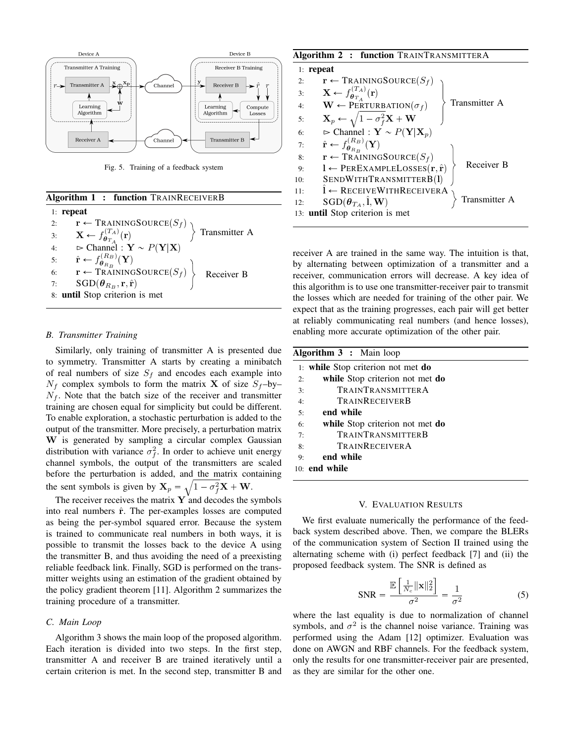

Fig. 5. Training of a feedback system

| <b>Algorithm 1: function TRAINRECEIVERB</b>                                                                                                                                                           |  |  |
|-------------------------------------------------------------------------------------------------------------------------------------------------------------------------------------------------------|--|--|
| $1:$ repeat                                                                                                                                                                                           |  |  |
|                                                                                                                                                                                                       |  |  |
| 2: $\mathbf{r} \leftarrow \text{TRAININGSOURCE}(S_f)$<br>3: $\mathbf{X} \leftarrow f_{\theta_{T_A}}^{(T_A)}(\mathbf{r})$<br>4: $\Rightarrow \text{Channel}: \mathbf{Y} \sim P(\mathbf{Y} \mathbf{X})$ |  |  |
|                                                                                                                                                                                                       |  |  |
| 5: $\hat{\mathbf{r}} \leftarrow f_{\theta_{R_B}}^{(R_B)}(\mathbf{Y})$                                                                                                                                 |  |  |
| 6: $\mathbf{r} \leftarrow \operatorname{TRAININGSOURCE}(S_f)$ Receiver B<br>7: $\operatorname{SGD}(\theta_{P} \cdot \mathbf{r} \cdot \hat{\mathbf{r}})$                                               |  |  |
| $SGD(\boldsymbol{\theta}_{R_B}, \mathbf{r}, \hat{\mathbf{r}})$                                                                                                                                        |  |  |
| 8: until Stop criterion is met                                                                                                                                                                        |  |  |

## *B. Transmitter Training*

Similarly, only training of transmitter A is presented due to symmetry. Transmitter A starts by creating a minibatch of real numbers of size  $S_f$  and encodes each example into  $N_f$  complex symbols to form the matrix **X** of size  $S_f$ -by- $N_f$ . Note that the batch size of the receiver and transmitter training are chosen equal for simplicity but could be different. To enable exploration, a stochastic perturbation is added to the output of the transmitter. More precisely, a perturbation matrix W is generated by sampling a circular complex Gaussian distribution with variance  $\sigma_f^2$ . In order to achieve unit energy channel symbols, the output of the transmitters are scaled before the perturbation is added, and the matrix containing the sent symbols is given by  $\mathbf{X}_p = \sqrt{1 - \sigma_f^2} \mathbf{X} + \mathbf{W}$ .

The receiver receives the matrix  $\bf{Y}$  and decodes the symbols into real numbers  $\hat{r}$ . The per-examples losses are computed as being the per-symbol squared error. Because the system is trained to communicate real numbers in both ways, it is possible to transmit the losses back to the device A using the transmitter B, and thus avoiding the need of a preexisting reliable feedback link. Finally, SGD is performed on the transmitter weights using an estimation of the gradient obtained by the policy gradient theorem [11]. Algorithm 2 summarizes the training procedure of a transmitter.

### *C. Main Loop*

Algorithm 3 shows the main loop of the proposed algorithm. Each iteration is divided into two steps. In the first step, transmitter A and receiver B are trained iteratively until a certain criterion is met. In the second step, transmitter B and

### Algorithm 2 : function TRAINTRANSMITTERA

| $1:$ repeat |                                                                           |  |
|-------------|---------------------------------------------------------------------------|--|
| 2:          | $\mathbf{r} \leftarrow$ TRAININGSOURCE $(S_f)$                            |  |
| 3:          | $\mathbf{X} \leftarrow f_{\boldsymbol{\theta}_{T_A}}^{(T_A)}(\mathbf{r})$ |  |
| 4:          | Transmitter A<br>$\mathbf{W} \leftarrow$ PERTURBATION $(\sigma_f)$        |  |
| 5:          | $\mathbf{X}_p \leftarrow \sqrt{1 - \sigma_f^2 \mathbf{X} + \mathbf{W}}$   |  |
| 6:          | $\triangleright$ Channel : $\mathbf{Y} \sim P(\mathbf{Y} \mathbf{X}_p)$   |  |
| 7:          | $\hat{\mathbf{r}} \leftarrow f_{\theta_{R_B}}^{(R_B)}(\mathbf{Y})$        |  |
| 8:          | $\mathbf{r} \leftarrow$ TRAININGSOURCE $(S_f)$                            |  |
| 9:          | Receiver B<br>$l \leftarrow$ PEREXAMPLELOSSES $(r, \hat{r})$              |  |
| 10:         | SENDWITHTRANSMITTERB(1)                                                   |  |
| 11:         | $I \leftarrow$ RECEIVEWITHRECEIVERA                                       |  |
| 12:         | Transmitter A<br>$SGD(\theta_{T_A}, \hat{\mathbf{l}}, \mathbf{W})$        |  |
|             | 13: until Stop criterion is met                                           |  |

receiver A are trained in the same way. The intuition is that, by alternating between optimization of a transmitter and a receiver, communication errors will decrease. A key idea of this algorithm is to use one transmitter-receiver pair to transmit the losses which are needed for training of the other pair. We expect that as the training progresses, each pair will get better at reliably communicating real numbers (and hence losses), enabling more accurate optimization of the other pair.

| <b>Algorithm 3 :</b> Main loop |                                    |  |
|--------------------------------|------------------------------------|--|
|                                | 1: while Stop criterion not met do |  |
| 2:                             | while Stop criterion not met do    |  |
| 3:                             | <b>TRAINTRANSMITTERA</b>           |  |
| 4:                             | <b>TRAINRECEIVERB</b>              |  |
| 5:                             | end while                          |  |
| 6:                             | while Stop criterion not met do    |  |
| 7:                             | <b>TRAINTRANSMITTERB</b>           |  |
| 8:                             | TRAINRECEIVERA                     |  |
| 9:                             | end while                          |  |
|                                | $10:$ end while                    |  |

#### V. EVALUATION RESULTS

We first evaluate numerically the performance of the feedback system described above. Then, we compare the BLERs of the communication system of Section II trained using the alternating scheme with (i) perfect feedback [7] and (ii) the proposed feedback system. The SNR is defined as

$$
\text{SNR} = \frac{\mathbb{E}\left[\frac{1}{N_c} \|\mathbf{x}\|_2^2\right]}{\sigma^2} = \frac{1}{\sigma^2} \tag{5}
$$

where the last equality is due to normalization of channel symbols, and  $\sigma^2$  is the channel noise variance. Training was performed using the Adam [12] optimizer. Evaluation was done on AWGN and RBF channels. For the feedback system, only the results for one transmitter-receiver pair are presented, as they are similar for the other one.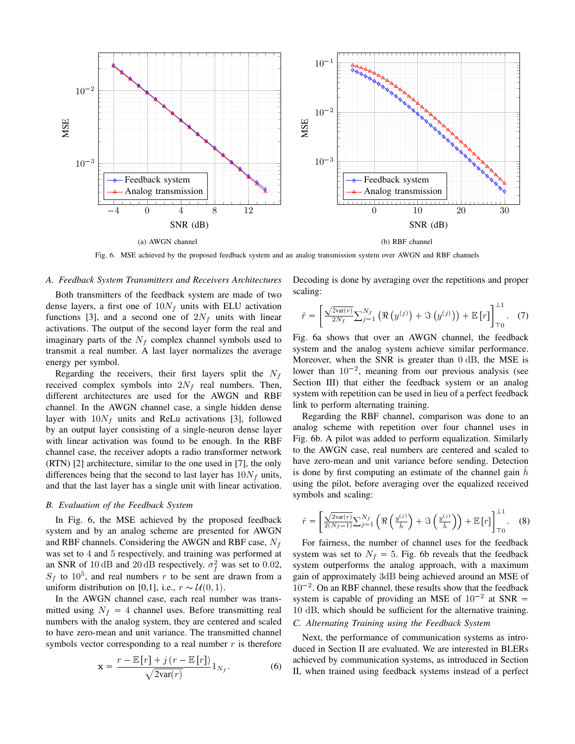

Fig. 6. MSE achieved by the proposed feedback system and an analog transmission system over AWGN and RBF channels

#### *A. Feedback System Transmitters and Receivers Architectures*

Both transmitters of the feedback system are made of two dense layers, a first one of  $10N_f$  units with ELU activation functions [3], and a second one of  $2N_f$  units with linear activations. The output of the second layer form the real and imaginary parts of the  $N_f$  complex channel symbols used to transmit a real number. A last layer normalizes the average energy per symbol.

Regarding the receivers, their first layers split the  $N_f$ received complex symbols into  $2N_f$  real numbers. Then, different architectures are used for the AWGN and RBF channel. In the AWGN channel case, a single hidden dense layer with  $10N_f$  units and ReLu activations [3], followed by an output layer consisting of a single-neuron dense layer with linear activation was found to be enough. In the RBF channel case, the receiver adopts a radio transformer network (RTN) [2] architecture, similar to the one used in [7], the only differences being that the second to last layer has  $10N_f$  units, and that the last layer has a single unit with linear activation.

# *B. Evaluation of the Feedback System*

In Fig. 6, the MSE achieved by the proposed feedback system and by an analog scheme are presented for AWGN and RBF channels. Considering the AWGN and RBF case,  $N_f$ was set to 4 and 5 respectively, and training was performed at an SNR of 10 dB and 20 dB respectively.  $\sigma_f^2$  was set to 0.02,  $S_f$  to 10<sup>5</sup>, and real numbers r to be sent are drawn from a uniform distribution on [0,1], i.e.,  $r \sim \mathcal{U}(0, 1)$ .

In the AWGN channel case, each real number was transmitted using  $N_f = 4$  channel uses. Before transmitting real numbers with the analog system, they are centered and scaled to have zero-mean and unit variance. The transmitted channel symbols vector corresponding to a real number  $r$  is therefore

$$
\mathbf{x} = \frac{r - \mathbb{E}\left[r\right] + j\left(r - \mathbb{E}\left[r\right]\right)}{\sqrt{2\text{var}(r)}}\mathbf{1}_{N_f}.\tag{6}
$$

Decoding is done by averaging over the repetitions and proper scaling:

$$
\hat{r} = \left[ \frac{\sqrt{2\text{var}(r)}}{2N_f} \sum_{j=1}^{N_f} \left( \Re\left(y^{(j)}\right) + \Im\left(y^{(j)}\right) \right) + \mathbb{E}\left[r\right] \right]_{\mathsf{T}_0}^{\perp 1} . \tag{7}
$$

Fig. 6a shows that over an AWGN channel, the feedback system and the analog system achieve similar performance. Moreover, when the SNR is greater than 0 dB, the MSE is lower than  $10^{-2}$ , meaning from our previous analysis (see Section III) that either the feedback system or an analog system with repetition can be used in lieu of a perfect feedback link to perform alternating training.

Regarding the RBF channel, comparison was done to an analog scheme with repetition over four channel uses in Fig. 6b. A pilot was added to perform equalization. Similarly to the AWGN case, real numbers are centered and scaled to have zero-mean and unit variance before sending. Detection is done by first computing an estimate of the channel gain  $h$ using the pilot, before averaging over the equalized received symbols and scaling:

$$
\hat{r} = \left[ \frac{\sqrt{2\text{var}(r)}}{2(N_f-1)} \sum_{j=1}^{N_f} \left( \Re\left( \frac{y^{(j)}}{\hat{h}} \right) + \Im\left( \frac{y^{(j)}}{\hat{h}} \right) \right) + \mathbb{E}\left[r\right] \right]_{\top 0}^{\bot 1} . \tag{8}
$$

For fairness, the number of channel uses for the feedback system was set to  $N_f = 5$ . Fig. 6b reveals that the feedback system outperforms the analog approach, with a maximum gain of approximately 3dB being achieved around an MSE of  $10^{-2}$ . On an RBF channel, these results show that the feedback system is capable of providing an MSE of  $10^{-2}$  at SNR = 10 dB, which should be sufficient for the alternative training.

# *C. Alternating Training using the Feedback System*

Next, the performance of communication systems as introduced in Section II are evaluated. We are interested in BLERs achieved by communication systems, as introduced in Section II, when trained using feedback systems instead of a perfect